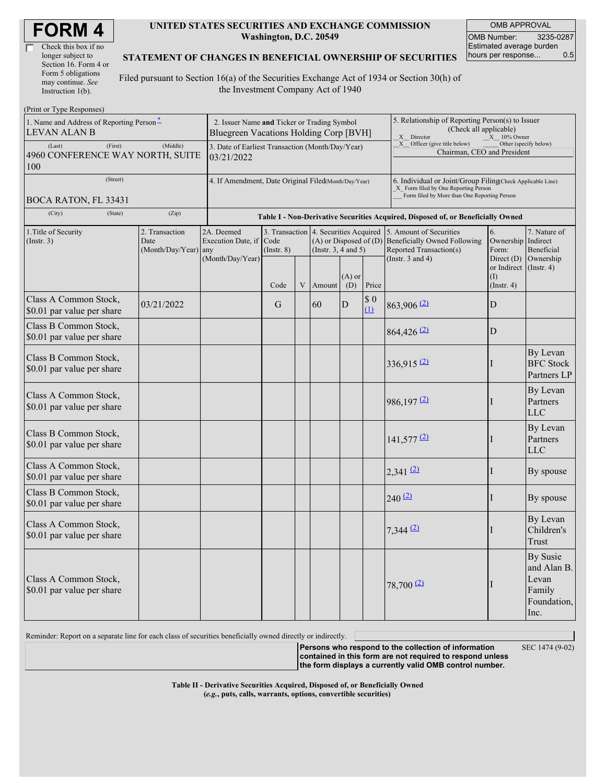| Check this box if no  |
|-----------------------|
| longer subject to     |
| Section 16. Form 4 or |
| Form 5 obligations    |
| may continue. See     |
| Instruction $1(b)$ .  |

 $(D_{\text{rint}} \text{ or } \text{T} \text{ and } \text{Do}$ 

#### **UNITED STATES SECURITIES AND EXCHANGE COMMISSION Washington, D.C. 20549**

OMB APPROVAL OMB Number: 3235-0287 Estimated average burden hours per response... 0.5

#### **STATEMENT OF CHANGES IN BENEFICIAL OWNERSHIP OF SECURITIES**

Filed pursuant to Section 16(a) of the Securities Exchange Act of 1934 or Section 30(h) of the Investment Company Act of 1940

| $1 \text{ min}$ or $1 \text{ ypc}$ responses)<br>1. Name and Address of Reporting Person-<br><b>LEVAN ALAN B</b><br>(First)<br>(Last)<br>4960 CONFERENCE WAY NORTH, SUITE<br>100 | 2. Issuer Name and Ticker or Trading Symbol<br>Bluegreen Vacations Holding Corp [BVH]<br>3. Date of Earliest Transaction (Month/Day/Year)<br>03/21/2022 |                                                                                  |                                           |   |                                                                                  | 5. Relationship of Reporting Person(s) to Issuer<br>(Check all applicable)<br>X Director<br>$X = 10\%$ Owner<br>X Officer (give title below)<br>Other (specify below)<br>Chairman, CEO and President |                    |                                                                                                                    |                                                                  |                                                                          |  |
|----------------------------------------------------------------------------------------------------------------------------------------------------------------------------------|---------------------------------------------------------------------------------------------------------------------------------------------------------|----------------------------------------------------------------------------------|-------------------------------------------|---|----------------------------------------------------------------------------------|------------------------------------------------------------------------------------------------------------------------------------------------------------------------------------------------------|--------------------|--------------------------------------------------------------------------------------------------------------------|------------------------------------------------------------------|--------------------------------------------------------------------------|--|
| (Street)<br>BOCA RATON, FL 33431                                                                                                                                                 | 4. If Amendment, Date Original Filed(Month/Day/Year)                                                                                                    |                                                                                  |                                           |   |                                                                                  | 6. Individual or Joint/Group Filing(Check Applicable Line)<br>X Form filed by One Reporting Person<br>Form filed by More than One Reporting Person                                                   |                    |                                                                                                                    |                                                                  |                                                                          |  |
| (City)<br>(State)                                                                                                                                                                |                                                                                                                                                         | Table I - Non-Derivative Securities Acquired, Disposed of, or Beneficially Owned |                                           |   |                                                                                  |                                                                                                                                                                                                      |                    |                                                                                                                    |                                                                  |                                                                          |  |
| 2. Transaction<br>1. Title of Security<br>(Insert. 3)<br>Date<br>(Month/Day/Year) any                                                                                            |                                                                                                                                                         | 2A. Deemed<br>Execution Date, if<br>(Month/Day/Year)                             | 3. Transaction<br>Code<br>$($ Instr. $8)$ |   | 4. Securities Acquired<br>$(A)$ or Disposed of $(D)$<br>(Instr. $3, 4$ and $5$ ) |                                                                                                                                                                                                      |                    | 5. Amount of Securities<br><b>Beneficially Owned Following</b><br>Reported Transaction(s)<br>(Instr. $3$ and $4$ ) | 6.<br>Ownership Indirect<br>Form:<br>Direct $(D)$<br>or Indirect | 7. Nature of<br>Beneficial<br>Ownership<br>$($ Instr. 4 $)$              |  |
|                                                                                                                                                                                  |                                                                                                                                                         |                                                                                  | Code                                      | V | Amount                                                                           | $(A)$ or<br>(D)                                                                                                                                                                                      | Price              |                                                                                                                    | (I)<br>$($ Instr. 4 $)$                                          |                                                                          |  |
| Class A Common Stock,<br>\$0.01 par value per share                                                                                                                              | 03/21/2022                                                                                                                                              |                                                                                  | G                                         |   | 60                                                                               | D                                                                                                                                                                                                    | $\$$ 0<br>$\Omega$ | $863,906$ <sup>(2)</sup>                                                                                           | D                                                                |                                                                          |  |
| Class B Common Stock,<br>\$0.01 par value per share                                                                                                                              |                                                                                                                                                         |                                                                                  |                                           |   |                                                                                  |                                                                                                                                                                                                      |                    | $864,426$ <sup>(2)</sup>                                                                                           | D                                                                |                                                                          |  |
| Class B Common Stock,<br>\$0.01 par value per share                                                                                                                              |                                                                                                                                                         |                                                                                  |                                           |   |                                                                                  |                                                                                                                                                                                                      |                    | $336,915$ <sup>(2)</sup>                                                                                           | н                                                                | By Levan<br><b>BFC</b> Stock<br>Partners LP                              |  |
| Class A Common Stock,<br>\$0.01 par value per share                                                                                                                              |                                                                                                                                                         |                                                                                  |                                           |   |                                                                                  |                                                                                                                                                                                                      |                    | $986,197 \frac{2}{2}$                                                                                              |                                                                  | By Levan<br>Partners<br><b>LLC</b>                                       |  |
| Class B Common Stock,<br>\$0.01 par value per share                                                                                                                              |                                                                                                                                                         |                                                                                  |                                           |   |                                                                                  |                                                                                                                                                                                                      |                    | $141,577$ <sup>(2)</sup>                                                                                           | I                                                                | By Levan<br>Partners<br><b>LLC</b>                                       |  |
| Class A Common Stock,<br>\$0.01 par value per share                                                                                                                              |                                                                                                                                                         |                                                                                  |                                           |   |                                                                                  |                                                                                                                                                                                                      |                    | $2,341$ (2)                                                                                                        | I                                                                | By spouse                                                                |  |
| Class B Common Stock,<br>\$0.01 par value per share                                                                                                                              |                                                                                                                                                         |                                                                                  |                                           |   |                                                                                  |                                                                                                                                                                                                      |                    | 240(2)                                                                                                             | I                                                                | By spouse                                                                |  |
| Class A Common Stock,<br>\$0.01 par value per share                                                                                                                              |                                                                                                                                                         |                                                                                  |                                           |   |                                                                                  |                                                                                                                                                                                                      |                    | $7,344$ $(2)$                                                                                                      |                                                                  | By Levan<br>Children's<br>Trust                                          |  |
| Class A Common Stock,<br>\$0.01 par value per share                                                                                                                              |                                                                                                                                                         |                                                                                  |                                           |   |                                                                                  |                                                                                                                                                                                                      |                    | $78,700$ <sup>(2)</sup>                                                                                            |                                                                  | <b>By Susie</b><br>and Alan B.<br>Levan<br>Family<br>Foundation,<br>Inc. |  |

Reminder: Report on a separate line for each class of securities beneficially owned directly or indirectly.

**Persons who respond to the collection of information contained in this form are not required to respond unless the form displays a currently valid OMB control number.**

SEC 1474 (9-02)

**Table II - Derivative Securities Acquired, Disposed of, or Beneficially Owned (***e.g.***, puts, calls, warrants, options, convertible securities)**